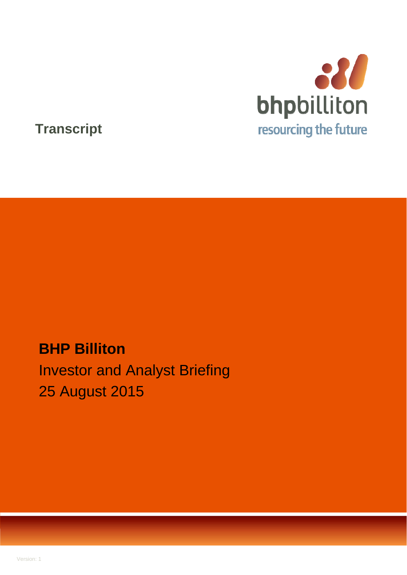

## **Transcript**

# **BHP Billiton**  Investor and Analyst Briefing 25 August 2015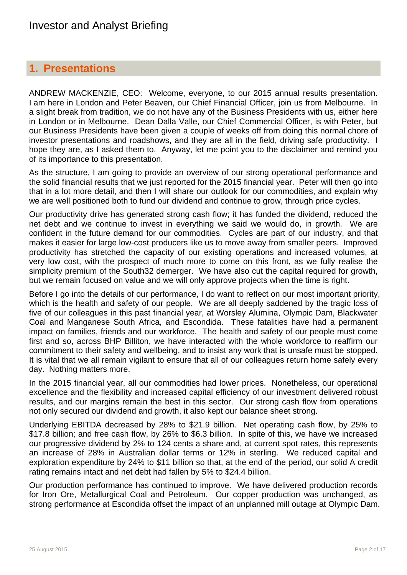### **1. Presentations**

ANDREW MACKENZIE, CEO: Welcome, everyone, to our 2015 annual results presentation. I am here in London and Peter Beaven, our Chief Financial Officer, join us from Melbourne. In a slight break from tradition, we do not have any of the Business Presidents with us, either here in London or in Melbourne. Dean Dalla Valle, our Chief Commercial Officer, is with Peter, but our Business Presidents have been given a couple of weeks off from doing this normal chore of investor presentations and roadshows, and they are all in the field, driving safe productivity. I hope they are, as I asked them to. Anyway, let me point you to the disclaimer and remind you of its importance to this presentation.

As the structure, I am going to provide an overview of our strong operational performance and the solid financial results that we just reported for the 2015 financial year. Peter will then go into that in a lot more detail, and then I will share our outlook for our commodities, and explain why we are well positioned both to fund our dividend and continue to grow, through price cycles.

Our productivity drive has generated strong cash flow; it has funded the dividend, reduced the net debt and we continue to invest in everything we said we would do, in growth. We are confident in the future demand for our commodities. Cycles are part of our industry, and that makes it easier for large low-cost producers like us to move away from smaller peers. Improved productivity has stretched the capacity of our existing operations and increased volumes, at very low cost, with the prospect of much more to come on this front, as we fully realise the simplicity premium of the South32 demerger. We have also cut the capital required for growth, but we remain focused on value and we will only approve projects when the time is right.

Before I go into the details of our performance, I do want to reflect on our most important priority, which is the health and safety of our people. We are all deeply saddened by the tragic loss of five of our colleagues in this past financial year, at Worsley Alumina, Olympic Dam, Blackwater Coal and Manganese South Africa, and Escondida. These fatalities have had a permanent impact on families, friends and our workforce. The health and safety of our people must come first and so, across BHP Billiton, we have interacted with the whole workforce to reaffirm our commitment to their safety and wellbeing, and to insist any work that is unsafe must be stopped. It is vital that we all remain vigilant to ensure that all of our colleagues return home safely every day. Nothing matters more.

In the 2015 financial year, all our commodities had lower prices. Nonetheless, our operational excellence and the flexibility and increased capital efficiency of our investment delivered robust results, and our margins remain the best in this sector. Our strong cash flow from operations not only secured our dividend and growth, it also kept our balance sheet strong.

Underlying EBITDA decreased by 28% to \$21.9 billion. Net operating cash flow, by 25% to \$17.8 billion; and free cash flow, by 26% to \$6.3 billion. In spite of this, we have we increased our progressive dividend by 2% to 124 cents a share and, at current spot rates, this represents an increase of 28% in Australian dollar terms or 12% in sterling. We reduced capital and exploration expenditure by 24% to \$11 billion so that, at the end of the period, our solid A credit rating remains intact and net debt had fallen by 5% to \$24.4 billion.

Our production performance has continued to improve. We have delivered production records for Iron Ore, Metallurgical Coal and Petroleum. Our copper production was unchanged, as strong performance at Escondida offset the impact of an unplanned mill outage at Olympic Dam.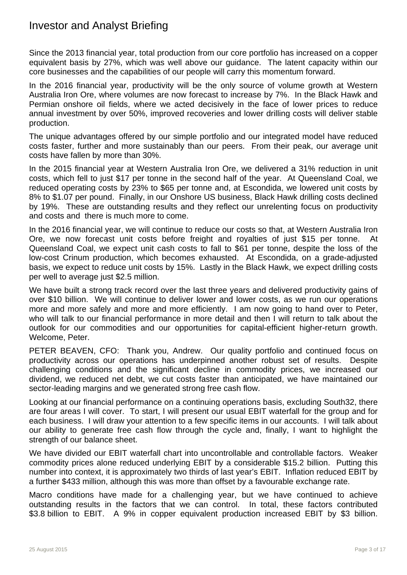Since the 2013 financial year, total production from our core portfolio has increased on a copper equivalent basis by 27%, which was well above our guidance. The latent capacity within our core businesses and the capabilities of our people will carry this momentum forward.

In the 2016 financial year, productivity will be the only source of volume growth at Western Australia Iron Ore, where volumes are now forecast to increase by 7%. In the Black Hawk and Permian onshore oil fields, where we acted decisively in the face of lower prices to reduce annual investment by over 50%, improved recoveries and lower drilling costs will deliver stable production.

The unique advantages offered by our simple portfolio and our integrated model have reduced costs faster, further and more sustainably than our peers. From their peak, our average unit costs have fallen by more than 30%.

In the 2015 financial year at Western Australia Iron Ore, we delivered a 31% reduction in unit costs, which fell to just \$17 per tonne in the second half of the year. At Queensland Coal, we reduced operating costs by 23% to \$65 per tonne and, at Escondida, we lowered unit costs by 8% to \$1.07 per pound. Finally, in our Onshore US business, Black Hawk drilling costs declined by 19%. These are outstanding results and they reflect our unrelenting focus on productivity and costs and there is much more to come.

In the 2016 financial year, we will continue to reduce our costs so that, at Western Australia Iron Ore, we now forecast unit costs before freight and royalties of just \$15 per tonne. At Queensland Coal, we expect unit cash costs to fall to \$61 per tonne, despite the loss of the low-cost Crinum production, which becomes exhausted. At Escondida, on a grade-adjusted basis, we expect to reduce unit costs by 15%. Lastly in the Black Hawk, we expect drilling costs per well to average just \$2.5 million.

We have built a strong track record over the last three years and delivered productivity gains of over \$10 billion. We will continue to deliver lower and lower costs, as we run our operations more and more safely and more and more efficiently. I am now going to hand over to Peter, who will talk to our financial performance in more detail and then I will return to talk about the outlook for our commodities and our opportunities for capital-efficient higher-return growth. Welcome, Peter.

PETER BEAVEN, CFO: Thank you, Andrew. Our quality portfolio and continued focus on productivity across our operations has underpinned another robust set of results. Despite challenging conditions and the significant decline in commodity prices, we increased our dividend, we reduced net debt, we cut costs faster than anticipated, we have maintained our sector-leading margins and we generated strong free cash flow.

Looking at our financial performance on a continuing operations basis, excluding South32, there are four areas I will cover. To start, I will present our usual EBIT waterfall for the group and for each business. I will draw your attention to a few specific items in our accounts. I will talk about our ability to generate free cash flow through the cycle and, finally, I want to highlight the strength of our balance sheet.

We have divided our EBIT waterfall chart into uncontrollable and controllable factors. Weaker commodity prices alone reduced underlying EBIT by a considerable \$15.2 billion. Putting this number into context, it is approximately two thirds of last year's EBIT. Inflation reduced EBIT by a further \$433 million, although this was more than offset by a favourable exchange rate.

Macro conditions have made for a challenging year, but we have continued to achieve outstanding results in the factors that we can control. In total, these factors contributed \$3.8 billion to EBIT. A 9% in copper equivalent production increased EBIT by \$3 billion.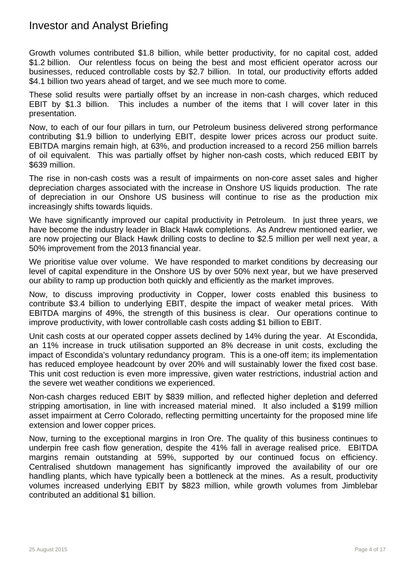Growth volumes contributed \$1.8 billion, while better productivity, for no capital cost, added \$1.2 billion. Our relentless focus on being the best and most efficient operator across our businesses, reduced controllable costs by \$2.7 billion. In total, our productivity efforts added \$4.1 billion two years ahead of target, and we see much more to come.

These solid results were partially offset by an increase in non-cash charges, which reduced EBIT by \$1.3 billion. This includes a number of the items that I will cover later in this presentation.

Now, to each of our four pillars in turn, our Petroleum business delivered strong performance contributing \$1.9 billion to underlying EBIT, despite lower prices across our product suite. EBITDA margins remain high, at 63%, and production increased to a record 256 million barrels of oil equivalent. This was partially offset by higher non-cash costs, which reduced EBIT by \$639 million.

The rise in non-cash costs was a result of impairments on non-core asset sales and higher depreciation charges associated with the increase in Onshore US liquids production. The rate of depreciation in our Onshore US business will continue to rise as the production mix increasingly shifts towards liquids.

We have significantly improved our capital productivity in Petroleum. In just three years, we have become the industry leader in Black Hawk completions. As Andrew mentioned earlier, we are now projecting our Black Hawk drilling costs to decline to \$2.5 million per well next year, a 50% improvement from the 2013 financial year.

We prioritise value over volume. We have responded to market conditions by decreasing our level of capital expenditure in the Onshore US by over 50% next year, but we have preserved our ability to ramp up production both quickly and efficiently as the market improves.

Now, to discuss improving productivity in Copper, lower costs enabled this business to contribute \$3.4 billion to underlying EBIT, despite the impact of weaker metal prices. With EBITDA margins of 49%, the strength of this business is clear. Our operations continue to improve productivity, with lower controllable cash costs adding \$1 billion to EBIT.

Unit cash costs at our operated copper assets declined by 14% during the year. At Escondida, an 11% increase in truck utilisation supported an 8% decrease in unit costs, excluding the impact of Escondida's voluntary redundancy program. This is a one-off item; its implementation has reduced employee headcount by over 20% and will sustainably lower the fixed cost base. This unit cost reduction is even more impressive, given water restrictions, industrial action and the severe wet weather conditions we experienced.

Non-cash charges reduced EBIT by \$839 million, and reflected higher depletion and deferred stripping amortisation, in line with increased material mined. It also included a \$199 million asset impairment at Cerro Colorado, reflecting permitting uncertainty for the proposed mine life extension and lower copper prices.

Now, turning to the exceptional margins in Iron Ore. The quality of this business continues to underpin free cash flow generation, despite the 41% fall in average realised price. EBITDA margins remain outstanding at 59%, supported by our continued focus on efficiency. Centralised shutdown management has significantly improved the availability of our ore handling plants, which have typically been a bottleneck at the mines. As a result, productivity volumes increased underlying EBIT by \$823 million, while growth volumes from Jimblebar contributed an additional \$1 billion.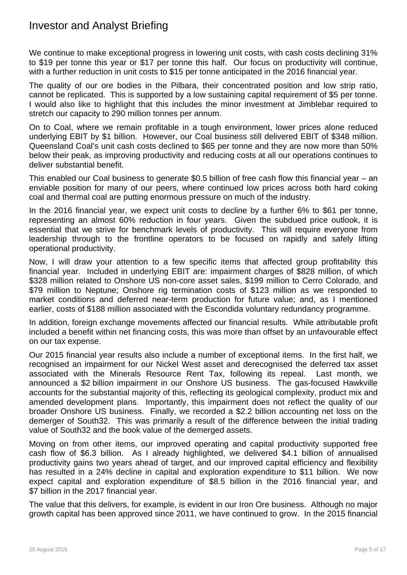We continue to make exceptional progress in lowering unit costs, with cash costs declining 31% to \$19 per tonne this year or \$17 per tonne this half. Our focus on productivity will continue, with a further reduction in unit costs to \$15 per tonne anticipated in the 2016 financial year.

The quality of our ore bodies in the Pilbara, their concentrated position and low strip ratio, cannot be replicated. This is supported by a low sustaining capital requirement of \$5 per tonne. I would also like to highlight that this includes the minor investment at Jimblebar required to stretch our capacity to 290 million tonnes per annum.

On to Coal, where we remain profitable in a tough environment, lower prices alone reduced underlying EBIT by \$1 billion. However, our Coal business still delivered EBIT of \$348 million. Queensland Coal's unit cash costs declined to \$65 per tonne and they are now more than 50% below their peak, as improving productivity and reducing costs at all our operations continues to deliver substantial benefit.

This enabled our Coal business to generate \$0.5 billion of free cash flow this financial year – an enviable position for many of our peers, where continued low prices across both hard coking coal and thermal coal are putting enormous pressure on much of the industry.

In the 2016 financial year, we expect unit costs to decline by a further 6% to \$61 per tonne, representing an almost 60% reduction in four years. Given the subdued price outlook, it is essential that we strive for benchmark levels of productivity. This will require everyone from leadership through to the frontline operators to be focused on rapidly and safely lifting operational productivity.

Now, I will draw your attention to a few specific items that affected group profitability this financial year. Included in underlying EBIT are: impairment charges of \$828 million, of which \$328 million related to Onshore US non-core asset sales, \$199 million to Cerro Colorado, and \$79 million to Neptune; Onshore rig termination costs of \$123 million as we responded to market conditions and deferred near-term production for future value; and, as I mentioned earlier, costs of \$188 million associated with the Escondida voluntary redundancy programme.

In addition, foreign exchange movements affected our financial results. While attributable profit included a benefit within net financing costs, this was more than offset by an unfavourable effect on our tax expense.

Our 2015 financial year results also include a number of exceptional items. In the first half, we recognised an impairment for our Nickel West asset and derecognised the deferred tax asset associated with the Minerals Resource Rent Tax, following its repeal. Last month, we announced a \$2 billion impairment in our Onshore US business. The gas-focused Hawkville accounts for the substantial majority of this, reflecting its geological complexity, product mix and amended development plans. Importantly, this impairment does not reflect the quality of our broader Onshore US business. Finally, we recorded a \$2.2 billion accounting net loss on the demerger of South32. This was primarily a result of the difference between the initial trading value of South32 and the book value of the demerged assets.

Moving on from other items, our improved operating and capital productivity supported free cash flow of \$6.3 billion. As I already highlighted, we delivered \$4.1 billion of annualised productivity gains two years ahead of target, and our improved capital efficiency and flexibility has resulted in a 24% decline in capital and exploration expenditure to \$11 billion. We now expect capital and exploration expenditure of \$8.5 billion in the 2016 financial year, and \$7 billion in the 2017 financial year.

The value that this delivers, for example, is evident in our Iron Ore business. Although no major growth capital has been approved since 2011, we have continued to grow. In the 2015 financial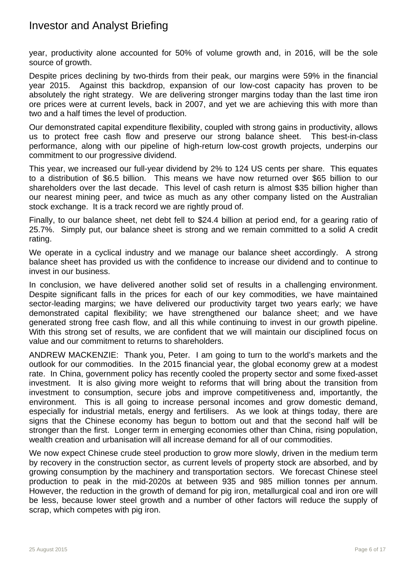year, productivity alone accounted for 50% of volume growth and, in 2016, will be the sole source of growth.

Despite prices declining by two-thirds from their peak, our margins were 59% in the financial year 2015. Against this backdrop, expansion of our low-cost capacity has proven to be absolutely the right strategy. We are delivering stronger margins today than the last time iron ore prices were at current levels, back in 2007, and yet we are achieving this with more than two and a half times the level of production.

Our demonstrated capital expenditure flexibility, coupled with strong gains in productivity, allows us to protect free cash flow and preserve our strong balance sheet. This best-in-class performance, along with our pipeline of high-return low-cost growth projects, underpins our commitment to our progressive dividend.

This year, we increased our full-year dividend by 2% to 124 US cents per share. This equates to a distribution of \$6.5 billion. This means we have now returned over \$65 billion to our shareholders over the last decade. This level of cash return is almost \$35 billion higher than our nearest mining peer, and twice as much as any other company listed on the Australian stock exchange. It is a track record we are rightly proud of.

Finally, to our balance sheet, net debt fell to \$24.4 billion at period end, for a gearing ratio of 25.7%. Simply put, our balance sheet is strong and we remain committed to a solid A credit rating.

We operate in a cyclical industry and we manage our balance sheet accordingly. A strong balance sheet has provided us with the confidence to increase our dividend and to continue to invest in our business.

In conclusion, we have delivered another solid set of results in a challenging environment. Despite significant falls in the prices for each of our key commodities, we have maintained sector-leading margins; we have delivered our productivity target two years early; we have demonstrated capital flexibility; we have strengthened our balance sheet; and we have generated strong free cash flow, and all this while continuing to invest in our growth pipeline. With this strong set of results, we are confident that we will maintain our disciplined focus on value and our commitment to returns to shareholders.

ANDREW MACKENZIE: Thank you, Peter. I am going to turn to the world's markets and the outlook for our commodities. In the 2015 financial year, the global economy grew at a modest rate. In China, government policy has recently cooled the property sector and some fixed-asset investment. It is also giving more weight to reforms that will bring about the transition from investment to consumption, secure jobs and improve competitiveness and, importantly, the environment. This is all going to increase personal incomes and grow domestic demand, especially for industrial metals, energy and fertilisers. As we look at things today, there are signs that the Chinese economy has begun to bottom out and that the second half will be stronger than the first. Longer term in emerging economies other than China, rising population, wealth creation and urbanisation will all increase demand for all of our commodities.

We now expect Chinese crude steel production to grow more slowly, driven in the medium term by recovery in the construction sector, as current levels of property stock are absorbed, and by growing consumption by the machinery and transportation sectors. We forecast Chinese steel production to peak in the mid-2020s at between 935 and 985 million tonnes per annum. However, the reduction in the growth of demand for pig iron, metallurgical coal and iron ore will be less, because lower steel growth and a number of other factors will reduce the supply of scrap, which competes with pig iron.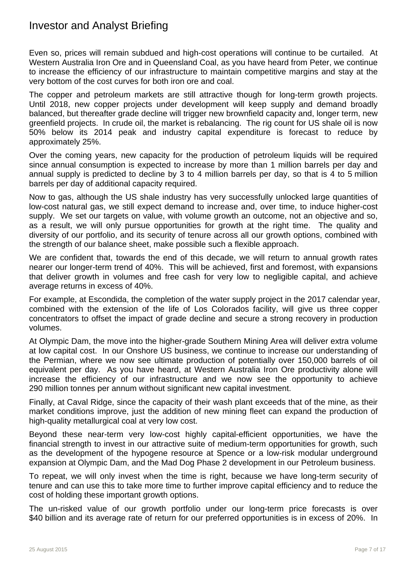Even so, prices will remain subdued and high-cost operations will continue to be curtailed. At Western Australia Iron Ore and in Queensland Coal, as you have heard from Peter, we continue to increase the efficiency of our infrastructure to maintain competitive margins and stay at the very bottom of the cost curves for both iron ore and coal.

The copper and petroleum markets are still attractive though for long-term growth projects. Until 2018, new copper projects under development will keep supply and demand broadly balanced, but thereafter grade decline will trigger new brownfield capacity and, longer term, new greenfield projects. In crude oil, the market is rebalancing. The rig count for US shale oil is now 50% below its 2014 peak and industry capital expenditure is forecast to reduce by approximately 25%.

Over the coming years, new capacity for the production of petroleum liquids will be required since annual consumption is expected to increase by more than 1 million barrels per day and annual supply is predicted to decline by 3 to 4 million barrels per day, so that is 4 to 5 million barrels per day of additional capacity required.

Now to gas, although the US shale industry has very successfully unlocked large quantities of low-cost natural gas, we still expect demand to increase and, over time, to induce higher-cost supply. We set our targets on value, with volume growth an outcome, not an objective and so, as a result, we will only pursue opportunities for growth at the right time. The quality and diversity of our portfolio, and its security of tenure across all our growth options, combined with the strength of our balance sheet, make possible such a flexible approach.

We are confident that, towards the end of this decade, we will return to annual growth rates nearer our longer-term trend of 40%. This will be achieved, first and foremost, with expansions that deliver growth in volumes and free cash for very low to negligible capital, and achieve average returns in excess of 40%.

For example, at Escondida, the completion of the water supply project in the 2017 calendar year, combined with the extension of the life of Los Colorados facility, will give us three copper concentrators to offset the impact of grade decline and secure a strong recovery in production volumes.

At Olympic Dam, the move into the higher-grade Southern Mining Area will deliver extra volume at low capital cost. In our Onshore US business, we continue to increase our understanding of the Permian, where we now see ultimate production of potentially over 150,000 barrels of oil equivalent per day. As you have heard, at Western Australia Iron Ore productivity alone will increase the efficiency of our infrastructure and we now see the opportunity to achieve 290 million tonnes per annum without significant new capital investment.

Finally, at Caval Ridge, since the capacity of their wash plant exceeds that of the mine, as their market conditions improve, just the addition of new mining fleet can expand the production of high-quality metallurgical coal at very low cost.

Beyond these near-term very low-cost highly capital-efficient opportunities, we have the financial strength to invest in our attractive suite of medium-term opportunities for growth, such as the development of the hypogene resource at Spence or a low-risk modular underground expansion at Olympic Dam, and the Mad Dog Phase 2 development in our Petroleum business.

To repeat, we will only invest when the time is right, because we have long-term security of tenure and can use this to take more time to further improve capital efficiency and to reduce the cost of holding these important growth options.

The un-risked value of our growth portfolio under our long-term price forecasts is over \$40 billion and its average rate of return for our preferred opportunities is in excess of 20%. In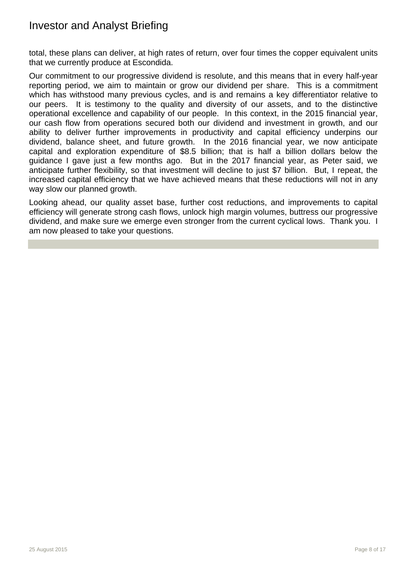total, these plans can deliver, at high rates of return, over four times the copper equivalent units that we currently produce at Escondida.

Our commitment to our progressive dividend is resolute, and this means that in every half-year reporting period, we aim to maintain or grow our dividend per share. This is a commitment which has withstood many previous cycles, and is and remains a key differentiator relative to our peers. It is testimony to the quality and diversity of our assets, and to the distinctive operational excellence and capability of our people. In this context, in the 2015 financial year, our cash flow from operations secured both our dividend and investment in growth, and our ability to deliver further improvements in productivity and capital efficiency underpins our dividend, balance sheet, and future growth. In the 2016 financial year, we now anticipate capital and exploration expenditure of \$8.5 billion; that is half a billion dollars below the guidance I gave just a few months ago. But in the 2017 financial year, as Peter said, we anticipate further flexibility, so that investment will decline to just \$7 billion. But, I repeat, the increased capital efficiency that we have achieved means that these reductions will not in any way slow our planned growth.

Looking ahead, our quality asset base, further cost reductions, and improvements to capital efficiency will generate strong cash flows, unlock high margin volumes, buttress our progressive dividend, and make sure we emerge even stronger from the current cyclical lows. Thank you. I am now pleased to take your questions.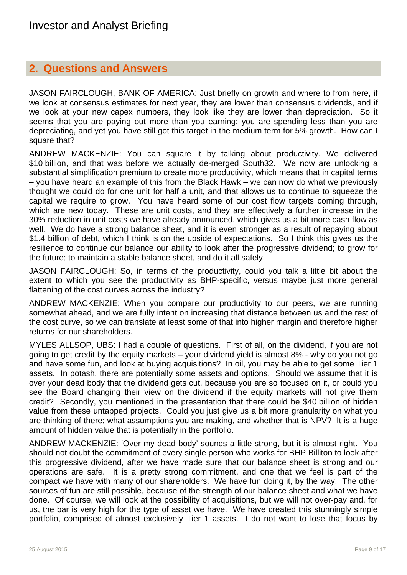#### **2. Questions and Answers**

JASON FAIRCLOUGH, BANK OF AMERICA: Just briefly on growth and where to from here, if we look at consensus estimates for next year, they are lower than consensus dividends, and if we look at your new capex numbers, they look like they are lower than depreciation. So it seems that you are paying out more than you earning; you are spending less than you are depreciating, and yet you have still got this target in the medium term for 5% growth. How can I square that?

ANDREW MACKENZIE: You can square it by talking about productivity. We delivered \$10 billion, and that was before we actually de-merged South32. We now are unlocking a substantial simplification premium to create more productivity, which means that in capital terms – you have heard an example of this from the Black Hawk – we can now do what we previously thought we could do for one unit for half a unit, and that allows us to continue to squeeze the capital we require to grow. You have heard some of our cost flow targets coming through, which are new today. These are unit costs, and they are effectively a further increase in the 30% reduction in unit costs we have already announced, which gives us a bit more cash flow as well. We do have a strong balance sheet, and it is even stronger as a result of repaying about \$1.4 billion of debt, which I think is on the upside of expectations. So I think this gives us the resilience to continue our balance our ability to look after the progressive dividend; to grow for the future; to maintain a stable balance sheet, and do it all safely.

JASON FAIRCLOUGH: So, in terms of the productivity, could you talk a little bit about the extent to which you see the productivity as BHP-specific, versus maybe just more general flattening of the cost curves across the industry?

ANDREW MACKENZIE: When you compare our productivity to our peers, we are running somewhat ahead, and we are fully intent on increasing that distance between us and the rest of the cost curve, so we can translate at least some of that into higher margin and therefore higher returns for our shareholders.

MYLES ALLSOP, UBS: I had a couple of questions. First of all, on the dividend, if you are not going to get credit by the equity markets – your dividend yield is almost 8% - why do you not go and have some fun, and look at buying acquisitions? In oil, you may be able to get some Tier 1 assets. In potash, there are potentially some assets and options. Should we assume that it is over your dead body that the dividend gets cut, because you are so focused on it, or could you see the Board changing their view on the dividend if the equity markets will not give them credit? Secondly, you mentioned in the presentation that there could be \$40 billion of hidden value from these untapped projects. Could you just give us a bit more granularity on what you are thinking of there; what assumptions you are making, and whether that is NPV? It is a huge amount of hidden value that is potentially in the portfolio.

ANDREW MACKENZIE: 'Over my dead body' sounds a little strong, but it is almost right. You should not doubt the commitment of every single person who works for BHP Billiton to look after this progressive dividend, after we have made sure that our balance sheet is strong and our operations are safe. It is a pretty strong commitment, and one that we feel is part of the compact we have with many of our shareholders. We have fun doing it, by the way. The other sources of fun are still possible, because of the strength of our balance sheet and what we have done. Of course, we will look at the possibility of acquisitions, but we will not over-pay and, for us, the bar is very high for the type of asset we have. We have created this stunningly simple portfolio, comprised of almost exclusively Tier 1 assets. I do not want to lose that focus by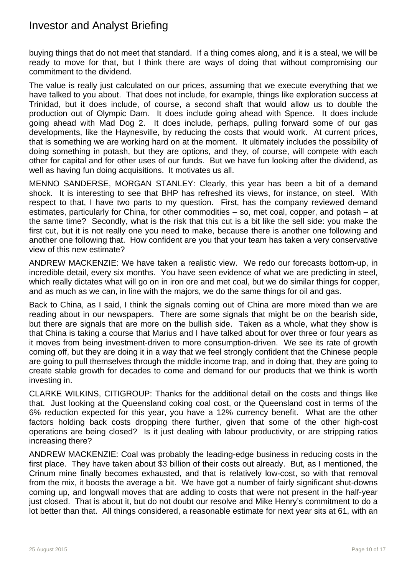buying things that do not meet that standard. If a thing comes along, and it is a steal, we will be ready to move for that, but I think there are ways of doing that without compromising our commitment to the dividend.

The value is really just calculated on our prices, assuming that we execute everything that we have talked to you about. That does not include, for example, things like exploration success at Trinidad, but it does include, of course, a second shaft that would allow us to double the production out of Olympic Dam. It does include going ahead with Spence. It does include going ahead with Mad Dog 2. It does include, perhaps, pulling forward some of our gas developments, like the Haynesville, by reducing the costs that would work. At current prices, that is something we are working hard on at the moment. It ultimately includes the possibility of doing something in potash, but they are options, and they, of course, will compete with each other for capital and for other uses of our funds. But we have fun looking after the dividend, as well as having fun doing acquisitions. It motivates us all.

MENNO SANDERSE, MORGAN STANLEY: Clearly, this year has been a bit of a demand shock. It is interesting to see that BHP has refreshed its views, for instance, on steel. With respect to that, I have two parts to my question. First, has the company reviewed demand estimates, particularly for China, for other commodities – so, met coal, copper, and potash – at the same time? Secondly, what is the risk that this cut is a bit like the sell side: you make the first cut, but it is not really one you need to make, because there is another one following and another one following that. How confident are you that your team has taken a very conservative view of this new estimate?

ANDREW MACKENZIE: We have taken a realistic view. We redo our forecasts bottom-up, in incredible detail, every six months. You have seen evidence of what we are predicting in steel, which really dictates what will go on in iron ore and met coal, but we do similar things for copper, and as much as we can, in line with the majors, we do the same things for oil and gas.

Back to China, as I said, I think the signals coming out of China are more mixed than we are reading about in our newspapers. There are some signals that might be on the bearish side, but there are signals that are more on the bullish side. Taken as a whole, what they show is that China is taking a course that Marius and I have talked about for over three or four years as it moves from being investment-driven to more consumption-driven. We see its rate of growth coming off, but they are doing it in a way that we feel strongly confident that the Chinese people are going to pull themselves through the middle income trap, and in doing that, they are going to create stable growth for decades to come and demand for our products that we think is worth investing in.

CLARKE WILKINS, CITIGROUP: Thanks for the additional detail on the costs and things like that. Just looking at the Queensland coking coal cost, or the Queensland cost in terms of the 6% reduction expected for this year, you have a 12% currency benefit. What are the other factors holding back costs dropping there further, given that some of the other high-cost operations are being closed? Is it just dealing with labour productivity, or are stripping ratios increasing there?

ANDREW MACKENZIE: Coal was probably the leading-edge business in reducing costs in the first place. They have taken about \$3 billion of their costs out already. But, as I mentioned, the Crinum mine finally becomes exhausted, and that is relatively low-cost, so with that removal from the mix, it boosts the average a bit. We have got a number of fairly significant shut-downs coming up, and longwall moves that are adding to costs that were not present in the half-year just closed. That is about it, but do not doubt our resolve and Mike Henry's commitment to do a lot better than that. All things considered, a reasonable estimate for next year sits at 61, with an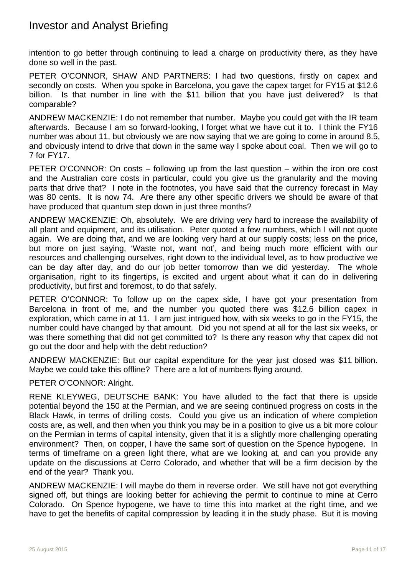intention to go better through continuing to lead a charge on productivity there, as they have done so well in the past.

PETER O'CONNOR, SHAW AND PARTNERS: I had two questions, firstly on capex and secondly on costs. When you spoke in Barcelona, you gave the capex target for FY15 at \$12.6 billion. Is that number in line with the \$11 billion that you have just delivered? Is that comparable?

ANDREW MACKENZIE: I do not remember that number. Maybe you could get with the IR team afterwards. Because I am so forward-looking, I forget what we have cut it to. I think the FY16 number was about 11, but obviously we are now saying that we are going to come in around 8.5, and obviously intend to drive that down in the same way I spoke about coal. Then we will go to 7 for FY17.

PETER O'CONNOR: On costs – following up from the last question – within the iron ore cost and the Australian core costs in particular, could you give us the granularity and the moving parts that drive that? I note in the footnotes, you have said that the currency forecast in May was 80 cents. It is now 74. Are there any other specific drivers we should be aware of that have produced that quantum step down in just three months?

ANDREW MACKENZIE: Oh, absolutely. We are driving very hard to increase the availability of all plant and equipment, and its utilisation. Peter quoted a few numbers, which I will not quote again. We are doing that, and we are looking very hard at our supply costs; less on the price, but more on just saying, 'Waste not, want not', and being much more efficient with our resources and challenging ourselves, right down to the individual level, as to how productive we can be day after day, and do our job better tomorrow than we did yesterday. The whole organisation, right to its fingertips, is excited and urgent about what it can do in delivering productivity, but first and foremost, to do that safely.

PETER O'CONNOR: To follow up on the capex side, I have got your presentation from Barcelona in front of me, and the number you quoted there was \$12.6 billion capex in exploration, which came in at 11. I am just intrigued how, with six weeks to go in the FY15, the number could have changed by that amount. Did you not spend at all for the last six weeks, or was there something that did not get committed to? Is there any reason why that capex did not go out the door and help with the debt reduction?

ANDREW MACKENZIE: But our capital expenditure for the year just closed was \$11 billion. Maybe we could take this offline? There are a lot of numbers flying around.

#### PETER O'CONNOR: Alright.

RENE KLEYWEG, DEUTSCHE BANK: You have alluded to the fact that there is upside potential beyond the 150 at the Permian, and we are seeing continued progress on costs in the Black Hawk, in terms of drilling costs. Could you give us an indication of where completion costs are, as well, and then when you think you may be in a position to give us a bit more colour on the Permian in terms of capital intensity, given that it is a slightly more challenging operating environment? Then, on copper, I have the same sort of question on the Spence hypogene. In terms of timeframe on a green light there, what are we looking at, and can you provide any update on the discussions at Cerro Colorado, and whether that will be a firm decision by the end of the year? Thank you.

ANDREW MACKENZIE: I will maybe do them in reverse order. We still have not got everything signed off, but things are looking better for achieving the permit to continue to mine at Cerro Colorado. On Spence hypogene, we have to time this into market at the right time, and we have to get the benefits of capital compression by leading it in the study phase. But it is moving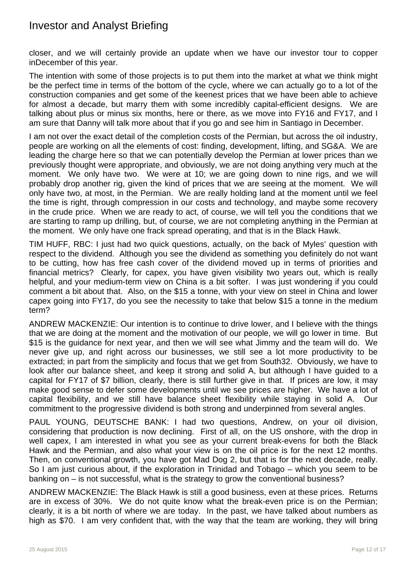closer, and we will certainly provide an update when we have our investor tour to copper inDecember of this year.

The intention with some of those projects is to put them into the market at what we think might be the perfect time in terms of the bottom of the cycle, where we can actually go to a lot of the construction companies and get some of the keenest prices that we have been able to achieve for almost a decade, but marry them with some incredibly capital-efficient designs. We are talking about plus or minus six months, here or there, as we move into FY16 and FY17, and I am sure that Danny will talk more about that if you go and see him in Santiago in December.

I am not over the exact detail of the completion costs of the Permian, but across the oil industry, people are working on all the elements of cost: finding, development, lifting, and SG&A. We are leading the charge here so that we can potentially develop the Permian at lower prices than we previously thought were appropriate, and obviously, we are not doing anything very much at the moment. We only have two. We were at 10; we are going down to nine rigs, and we will probably drop another rig, given the kind of prices that we are seeing at the moment. We will only have two, at most, in the Permian. We are really holding land at the moment until we feel the time is right, through compression in our costs and technology, and maybe some recovery in the crude price. When we are ready to act, of course, we will tell you the conditions that we are starting to ramp up drilling, but, of course, we are not completing anything in the Permian at the moment. We only have one frack spread operating, and that is in the Black Hawk.

TIM HUFF, RBC: I just had two quick questions, actually, on the back of Myles' question with respect to the dividend. Although you see the dividend as something you definitely do not want to be cutting, how has free cash cover of the dividend moved up in terms of priorities and financial metrics? Clearly, for capex, you have given visibility two years out, which is really helpful, and your medium-term view on China is a bit softer. I was just wondering if you could comment a bit about that. Also, on the \$15 a tonne, with your view on steel in China and lower capex going into FY17, do you see the necessity to take that below \$15 a tonne in the medium term?

ANDREW MACKENZIE: Our intention is to continue to drive lower, and I believe with the things that we are doing at the moment and the motivation of our people, we will go lower in time. But \$15 is the guidance for next year, and then we will see what Jimmy and the team will do. We never give up, and right across our businesses, we still see a lot more productivity to be extracted; in part from the simplicity and focus that we get from South32. Obviously, we have to look after our balance sheet, and keep it strong and solid A, but although I have guided to a capital for FY17 of \$7 billion, clearly, there is still further give in that. If prices are low, it may make good sense to defer some developments until we see prices are higher. We have a lot of capital flexibility, and we still have balance sheet flexibility while staying in solid A. Our commitment to the progressive dividend is both strong and underpinned from several angles.

PAUL YOUNG, DEUTSCHE BANK: I had two questions, Andrew, on your oil division, considering that production is now declining. First of all, on the US onshore, with the drop in well capex, I am interested in what you see as your current break-evens for both the Black Hawk and the Permian, and also what your view is on the oil price is for the next 12 months. Then, on conventional growth, you have got Mad Dog 2, but that is for the next decade, really. So I am just curious about, if the exploration in Trinidad and Tobago – which you seem to be banking on – is not successful, what is the strategy to grow the conventional business?

ANDREW MACKENZIE: The Black Hawk is still a good business, even at these prices. Returns are in excess of 30%. We do not quite know what the break-even price is on the Permian; clearly, it is a bit north of where we are today. In the past, we have talked about numbers as high as \$70. I am very confident that, with the way that the team are working, they will bring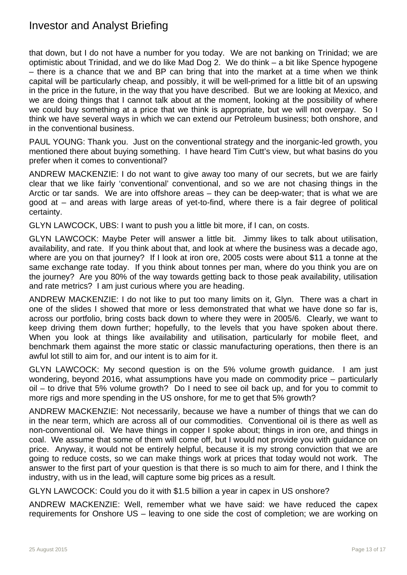that down, but I do not have a number for you today. We are not banking on Trinidad; we are optimistic about Trinidad, and we do like Mad Dog 2. We do think – a bit like Spence hypogene – there is a chance that we and BP can bring that into the market at a time when we think capital will be particularly cheap, and possibly, it will be well-primed for a little bit of an upswing in the price in the future, in the way that you have described. But we are looking at Mexico, and we are doing things that I cannot talk about at the moment, looking at the possibility of where we could buy something at a price that we think is appropriate, but we will not overpay. So I think we have several ways in which we can extend our Petroleum business; both onshore, and in the conventional business.

PAUL YOUNG: Thank you. Just on the conventional strategy and the inorganic-led growth, you mentioned there about buying something. I have heard Tim Cutt's view, but what basins do you prefer when it comes to conventional?

ANDREW MACKENZIE: I do not want to give away too many of our secrets, but we are fairly clear that we like fairly 'conventional' conventional, and so we are not chasing things in the Arctic or tar sands. We are into offshore areas – they can be deep-water; that is what we are good at – and areas with large areas of yet-to-find, where there is a fair degree of political certainty.

GLYN LAWCOCK, UBS: I want to push you a little bit more, if I can, on costs.

GLYN LAWCOCK: Maybe Peter will answer a little bit. Jimmy likes to talk about utilisation, availability, and rate. If you think about that, and look at where the business was a decade ago, where are you on that journey? If I look at iron ore, 2005 costs were about \$11 a tonne at the same exchange rate today. If you think about tonnes per man, where do you think you are on the journey? Are you 80% of the way towards getting back to those peak availability, utilisation and rate metrics? I am just curious where you are heading.

ANDREW MACKENZIE: I do not like to put too many limits on it, Glyn. There was a chart in one of the slides I showed that more or less demonstrated that what we have done so far is, across our portfolio, bring costs back down to where they were in 2005/6. Clearly, we want to keep driving them down further; hopefully, to the levels that you have spoken about there. When you look at things like availability and utilisation, particularly for mobile fleet, and benchmark them against the more static or classic manufacturing operations, then there is an awful lot still to aim for, and our intent is to aim for it.

GLYN LAWCOCK: My second question is on the 5% volume growth guidance. I am just wondering, beyond 2016, what assumptions have you made on commodity price – particularly oil – to drive that 5% volume growth? Do I need to see oil back up, and for you to commit to more rigs and more spending in the US onshore, for me to get that 5% growth?

ANDREW MACKENZIE: Not necessarily, because we have a number of things that we can do in the near term, which are across all of our commodities. Conventional oil is there as well as non-conventional oil. We have things in copper I spoke about; things in iron ore, and things in coal. We assume that some of them will come off, but I would not provide you with guidance on price. Anyway, it would not be entirely helpful, because it is my strong conviction that we are going to reduce costs, so we can make things work at prices that today would not work. The answer to the first part of your question is that there is so much to aim for there, and I think the industry, with us in the lead, will capture some big prices as a result.

GLYN LAWCOCK: Could you do it with \$1.5 billion a year in capex in US onshore?

ANDREW MACKENZIE: Well, remember what we have said: we have reduced the capex requirements for Onshore US – leaving to one side the cost of completion; we are working on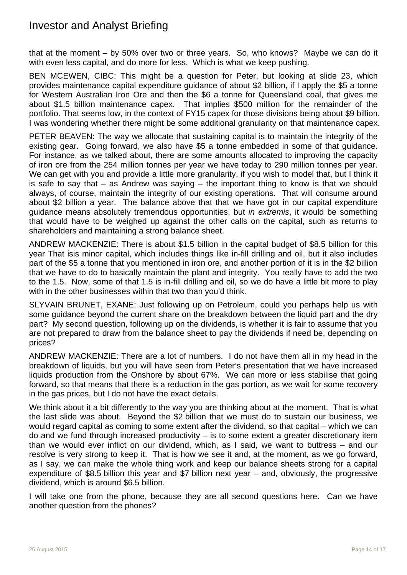that at the moment – by 50% over two or three years. So, who knows? Maybe we can do it with even less capital, and do more for less. Which is what we keep pushing.

BEN MCEWEN, CIBC: This might be a question for Peter, but looking at slide 23, which provides maintenance capital expenditure guidance of about \$2 billion, if I apply the \$5 a tonne for Western Australian Iron Ore and then the \$6 a tonne for Queensland coal, that gives me about \$1.5 billion maintenance capex. That implies \$500 million for the remainder of the portfolio. That seems low, in the context of FY15 capex for those divisions being about \$9 billion. I was wondering whether there might be some additional granularity on that maintenance capex.

PETER BEAVEN: The way we allocate that sustaining capital is to maintain the integrity of the existing gear. Going forward, we also have \$5 a tonne embedded in some of that guidance. For instance, as we talked about, there are some amounts allocated to improving the capacity of iron ore from the 254 million tonnes per year we have today to 290 million tonnes per year. We can get with you and provide a little more granularity, if you wish to model that, but I think it is safe to say that – as Andrew was saying – the important thing to know is that we should always, of course, maintain the integrity of our existing operations. That will consume around about \$2 billion a year. The balance above that that we have got in our capital expenditure guidance means absolutely tremendous opportunities, but *in extremis*, it would be something that would have to be weighed up against the other calls on the capital, such as returns to shareholders and maintaining a strong balance sheet.

ANDREW MACKENZIE: There is about \$1.5 billion in the capital budget of \$8.5 billion for this year That isis minor capital, which includes things like in-fill drilling and oil, but it also includes part of the \$5 a tonne that you mentioned in iron ore, and another portion of it is in the \$2 billion that we have to do to basically maintain the plant and integrity. You really have to add the two to the 1.5. Now, some of that 1.5 is in-fill drilling and oil, so we do have a little bit more to play with in the other businesses within that two than you'd think.

SLYVAIN BRUNET, EXANE: Just following up on Petroleum, could you perhaps help us with some guidance beyond the current share on the breakdown between the liquid part and the dry part? My second question, following up on the dividends, is whether it is fair to assume that you are not prepared to draw from the balance sheet to pay the dividends if need be, depending on prices?

ANDREW MACKENZIE: There are a lot of numbers. I do not have them all in my head in the breakdown of liquids, but you will have seen from Peter's presentation that we have increased liquids production from the Onshore by about 67%. We can more or less stabilise that going forward, so that means that there is a reduction in the gas portion, as we wait for some recovery in the gas prices, but I do not have the exact details.

We think about it a bit differently to the way you are thinking about at the moment. That is what the last slide was about. Beyond the \$2 billion that we must do to sustain our business, we would regard capital as coming to some extent after the dividend, so that capital – which we can do and we fund through increased productivity – is to some extent a greater discretionary item than we would ever inflict on our dividend, which, as I said, we want to buttress – and our resolve is very strong to keep it. That is how we see it and, at the moment, as we go forward, as I say, we can make the whole thing work and keep our balance sheets strong for a capital expenditure of \$8.5 billion this year and \$7 billion next year – and, obviously, the progressive dividend, which is around \$6.5 billion.

I will take one from the phone, because they are all second questions here. Can we have another question from the phones?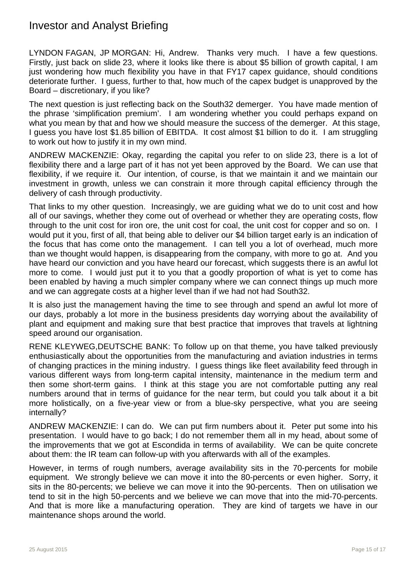LYNDON FAGAN, JP MORGAN: Hi, Andrew. Thanks very much. I have a few questions. Firstly, just back on slide 23, where it looks like there is about \$5 billion of growth capital, I am just wondering how much flexibility you have in that FY17 capex guidance, should conditions deteriorate further. I guess, further to that, how much of the capex budget is unapproved by the Board – discretionary, if you like?

The next question is just reflecting back on the South32 demerger. You have made mention of the phrase 'simplification premium'. I am wondering whether you could perhaps expand on what you mean by that and how we should measure the success of the demerger. At this stage, I guess you have lost \$1.85 billion of EBITDA. It cost almost \$1 billion to do it. I am struggling to work out how to justify it in my own mind.

ANDREW MACKENZIE: Okay, regarding the capital you refer to on slide 23, there is a lot of flexibility there and a large part of it has not yet been approved by the Board. We can use that flexibility, if we require it. Our intention, of course, is that we maintain it and we maintain our investment in growth, unless we can constrain it more through capital efficiency through the delivery of cash through productivity.

That links to my other question. Increasingly, we are guiding what we do to unit cost and how all of our savings, whether they come out of overhead or whether they are operating costs, flow through to the unit cost for iron ore, the unit cost for coal, the unit cost for copper and so on. I would put it you, first of all, that being able to deliver our \$4 billion target early is an indication of the focus that has come onto the management. I can tell you a lot of overhead, much more than we thought would happen, is disappearing from the company, with more to go at. And you have heard our conviction and you have heard our forecast, which suggests there is an awful lot more to come. I would just put it to you that a goodly proportion of what is yet to come has been enabled by having a much simpler company where we can connect things up much more and we can aggregate costs at a higher level than if we had not had South32.

It is also just the management having the time to see through and spend an awful lot more of our days, probably a lot more in the business presidents day worrying about the availability of plant and equipment and making sure that best practice that improves that travels at lightning speed around our organisation.

RENE KLEYWEG,DEUTSCHE BANK: To follow up on that theme, you have talked previously enthusiastically about the opportunities from the manufacturing and aviation industries in terms of changing practices in the mining industry. I guess things like fleet availability feed through in various different ways from long-term capital intensity, maintenance in the medium term and then some short-term gains. I think at this stage you are not comfortable putting any real numbers around that in terms of guidance for the near term, but could you talk about it a bit more holistically, on a five-year view or from a blue-sky perspective, what you are seeing internally?

ANDREW MACKENZIE: I can do. We can put firm numbers about it. Peter put some into his presentation. I would have to go back; I do not remember them all in my head, about some of the improvements that we got at Escondida in terms of availability. We can be quite concrete about them: the IR team can follow-up with you afterwards with all of the examples.

However, in terms of rough numbers, average availability sits in the 70-percents for mobile equipment. We strongly believe we can move it into the 80-percents or even higher. Sorry, it sits in the 80-percents; we believe we can move it into the 90-percents. Then on utilisation we tend to sit in the high 50-percents and we believe we can move that into the mid-70-percents. And that is more like a manufacturing operation. They are kind of targets we have in our maintenance shops around the world.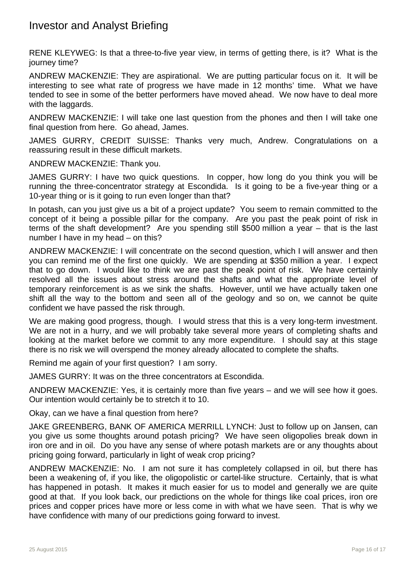RENE KLEYWEG: Is that a three-to-five year view, in terms of getting there, is it? What is the journey time?

ANDREW MACKENZIE: They are aspirational. We are putting particular focus on it. It will be interesting to see what rate of progress we have made in 12 months' time. What we have tended to see in some of the better performers have moved ahead. We now have to deal more with the laggards.

ANDREW MACKENZIE: I will take one last question from the phones and then I will take one final question from here. Go ahead, James.

JAMES GURRY, CREDIT SUISSE: Thanks very much, Andrew. Congratulations on a reassuring result in these difficult markets.

ANDREW MACKENZIE: Thank you.

JAMES GURRY: I have two quick questions. In copper, how long do you think you will be running the three-concentrator strategy at Escondida. Is it going to be a five-year thing or a 10-year thing or is it going to run even longer than that?

In potash, can you just give us a bit of a project update? You seem to remain committed to the concept of it being a possible pillar for the company. Are you past the peak point of risk in terms of the shaft development? Are you spending still \$500 million a year – that is the last number I have in my head – on this?

ANDREW MACKENZIE: I will concentrate on the second question, which I will answer and then you can remind me of the first one quickly. We are spending at \$350 million a year. I expect that to go down. I would like to think we are past the peak point of risk. We have certainly resolved all the issues about stress around the shafts and what the appropriate level of temporary reinforcement is as we sink the shafts. However, until we have actually taken one shift all the way to the bottom and seen all of the geology and so on, we cannot be quite confident we have passed the risk through.

We are making good progress, though. I would stress that this is a very long-term investment. We are not in a hurry, and we will probably take several more years of completing shafts and looking at the market before we commit to any more expenditure. I should say at this stage there is no risk we will overspend the money already allocated to complete the shafts.

Remind me again of your first question? I am sorry.

JAMES GURRY: It was on the three concentrators at Escondida.

ANDREW MACKENZIE: Yes, it is certainly more than five years – and we will see how it goes. Our intention would certainly be to stretch it to 10.

Okay, can we have a final question from here?

JAKE GREENBERG, BANK OF AMERICA MERRILL LYNCH: Just to follow up on Jansen, can you give us some thoughts around potash pricing? We have seen oligopolies break down in iron ore and in oil. Do you have any sense of where potash markets are or any thoughts about pricing going forward, particularly in light of weak crop pricing?

ANDREW MACKENZIE: No. I am not sure it has completely collapsed in oil, but there has been a weakening of, if you like, the oligopolistic or cartel-like structure. Certainly, that is what has happened in potash. It makes it much easier for us to model and generally we are quite good at that. If you look back, our predictions on the whole for things like coal prices, iron ore prices and copper prices have more or less come in with what we have seen. That is why we have confidence with many of our predictions going forward to invest.